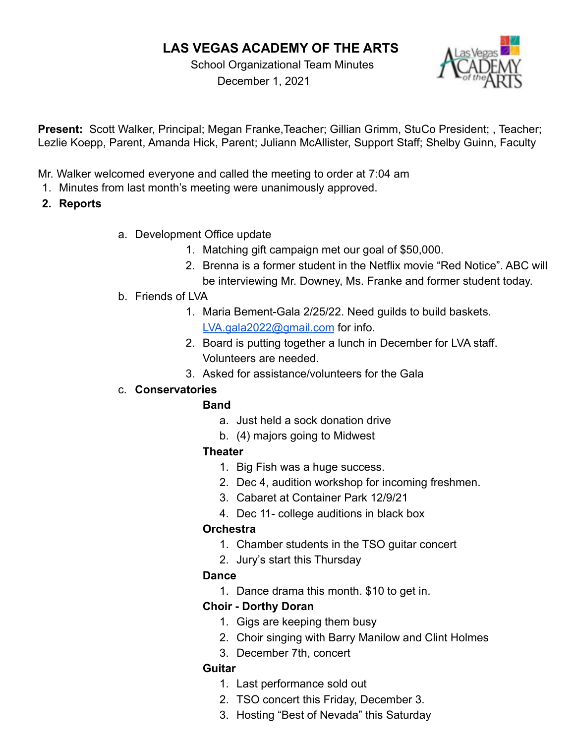# **LAS VEGAS ACADEMY OF THE ARTS**

School Organizational Team Minutes December 1, 2021



**Present:** Scott Walker, Principal; Megan Franke,Teacher; Gillian Grimm, StuCo President; , Teacher; Lezlie Koepp, Parent, Amanda Hick, Parent; Juliann McAllister, Support Staff; Shelby Guinn, Faculty

- Mr. Walker welcomed everyone and called the meeting to order at 7:04 am
- 1. Minutes from last month's meeting were unanimously approved.
- **2. Reports**
- a. Development Office update
	- 1. Matching gift campaign met our goal of \$50,000.
	- 2. Brenna is a former student in the Netflix movie "Red Notice". ABC will be interviewing Mr. Downey, Ms. Franke and former student today.
- b. Friends of LVA
	- 1. Maria Bement-Gala 2/25/22. Need guilds to build baskets. [LVA.gala2022@gmail.com](mailto:LVA.gala2022@gmail.com) for info.
	- 2. Board is putting together a lunch in December for LVA staff. Volunteers are needed.
	- 3. Asked for assistance/volunteers for the Gala

## c. **Conservatories**

## **Band**

- a. Just held a sock donation drive
- b. (4) majors going to Midwest

## **Theater**

- 1. Big Fish was a huge success.
- 2. Dec 4, audition workshop for incoming freshmen.
- 3. Cabaret at Container Park 12/9/21
- 4. Dec 11- college auditions in black box

## **Orchestra**

- 1. Chamber students in the TSO guitar concert
- 2. Jury's start this Thursday

## **Dance**

1. Dance drama this month. \$10 to get in.

## **Choir - Dorthy Doran**

- 1. Gigs are keeping them busy
- 2. Choir singing with Barry Manilow and Clint Holmes
- 3. December 7th, concert

## **Guitar**

- 1. Last performance sold out
- 2. TSO concert this Friday, December 3.
- 3. Hosting "Best of Nevada" this Saturday